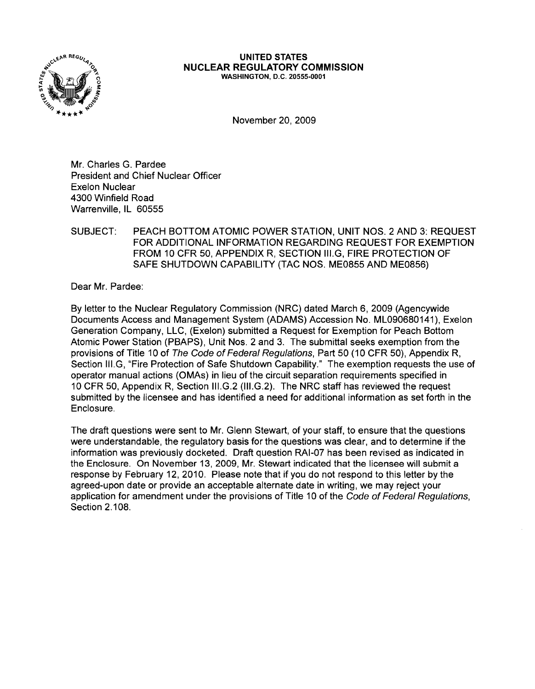

#### UNITED STATES NUCLEAR REGULATORY COMMISSION WASHINGTON, D.C. 20555-0001

November 20,2009

Mr. Charles G. Pardee President and Chief Nuclear Officer Exelon Nuclear 4300 Winfield Road Warrenville, IL 60555

SUBJECT: PEACH BOTTOM ATOMIC POWER STATION, UNIT NOS. 2 AND 3: REQUEST FOR ADDITIONAL INFORMATION REGARDING REQUEST FOR EXEMPTION FROM 10 CFR 50, APPENDIX R, SECTION III.G, FIRE PROTECTION OF SAFE SHUTDOWN CAPABILITY (TAC NOS. ME0855 AND ME0856)

Dear Mr. Pardee:

By letter to the Nuclear Regulatory Commission (NRC) dated March 6, 2009 (Agencywide Documents Access and Management System (ADAMS) Accession No. ML090680141), Exelon Generation Company, LLC, (Exelon) submitted a Request for Exemption for Peach Bottom Atomic Power Station (PBAPS), Unit Nos. 2 and 3. The submittal seeks exemption from the provisions of Title 10 of The Code of Federal Regulations, Part 50 (10 CFR 50), Appendix R, Section III.G, "Fire Protection of Safe Shutdown Capability." The exemption requests the use of operator manual actions (OMAs) in lieu of the circuit separation requirements specified in 10 CFR 50, Appendix R, Section III.G.2 (III.G.2). The NRC staff has reviewed the request submitted by the licensee and has identified a need for additional information as set forth in the Enclosure.

The draft questions were sent to Mr. Glenn Stewart, of your staff, to ensure that the questions were understandable, the regulatory basis for the questions was clear, and to determine if the information was previously docketed. Draft question RAI-O? has been revised as indicated in the Enclosure. On November 13, 2009, Mr. Stewart indicated that the licensee will submit a response by February 12, 2010. Please note that if you do not respond to this letter by the agreed-upon date or provide an acceptable alternate date in writing, we may reject your application for amendment under the provisions of Title 10 of the Code of Federal Regulations, Section 2.108.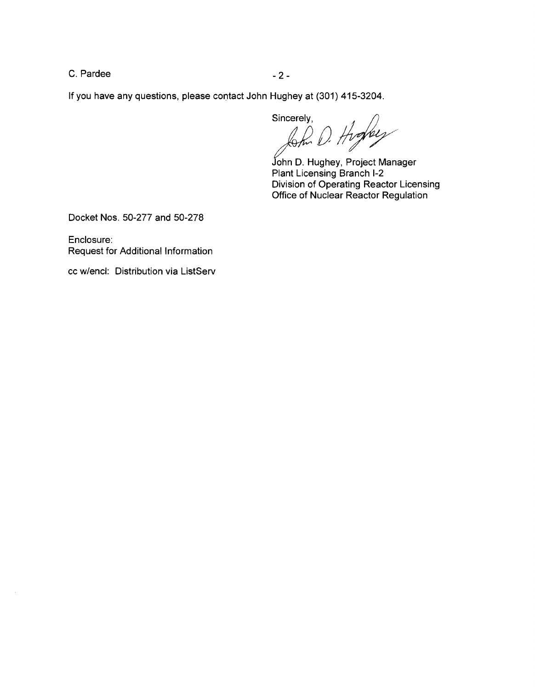C. Pardee  $-2$  -

If you have any questions, please contact John Hughey at (301) 415-3204.

Sincerely,

hoffer

John D. Hughey, Project Manager Plant Licensing Branch 1-2 Division of Operating Reactor Licensing Office of Nuclear Reactor Regulation

Docket Nos. 50-277 and 50-278

Enclosure: Request for Additional Information

cc w/encl: Distribution via ListServ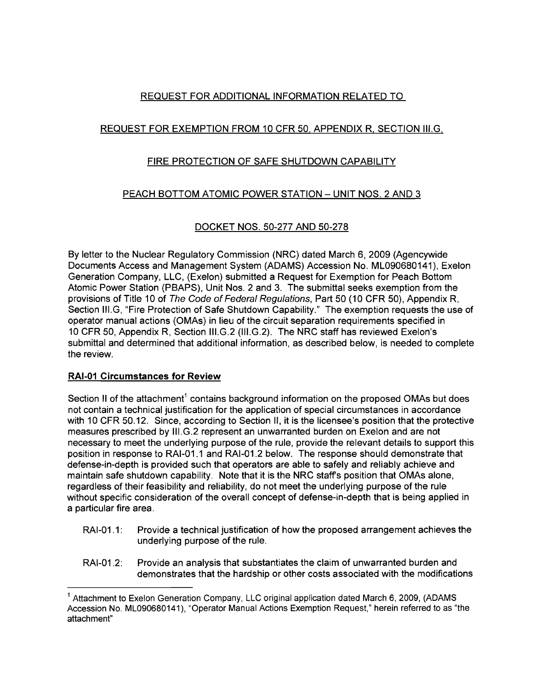# REQUEST FOR ADDITIONAL INFORMATION RELATED TO

## REQUEST FOR EXEMPTION FROM 10 CFR 50, APPENDIX R, SECTION III.G,

## FIRE PROTECTION OF SAFE SHUTDOWN CAPABILITY

## PEACH BOTTOM ATOMIC POWER STATION - UNIT NOS. 2 AND 3

## DOCKET NOS. 50-277 AND 50-278

By letter to the Nuclear Regulatory Commission (NRC) dated March 6, 2009 (Agencywide Documents Access and Management System (ADAMS) Accession No. ML090680141), Exelon Generation Company, LLC, (Exelon) submitted a Request for Exemption for Peach Bottom Atomic Power Station (PBAPS), Unit Nos. 2 and 3. The submittal seeks exemption from the provisions of Title 10 of The Code of Federal Regulations, Part 50 (10 CFR 50), Appendix R, Section III.G, "Fire Protection of Safe Shutdown Capability." The exemption requests the use of operator manual actions (OMAs) in lieu of the circuit separation requirements specified in 10 CFR 50, Appendix R, Section III.G.2 (III.G.2). The NRC staff has reviewed Exelon's submittal and determined that additional information, as described below, is needed to complete the review.

## **RAI-01 Circumstances for Review**

Section II of the attachment<sup>1</sup> contains background information on the proposed OMAs but does not contain a technical justification for the application of special circumstances in accordance with 10 CFR 50.12. Since, according to Section II, it is the licensee's position that the protective measures prescribed by III.G.2 represent an unwarranted burden on Exelon and are not necessary to meet the underlying purpose of the rule, provide the relevant details to support this position in response to RAI-01.1 and RAI-01.2 below. The response should demonstrate that defense-in-depth is provided such that operators are able to safely and reliably achieve and maintain safe shutdown capability. Note that it is the NRC staff's position that OMAs alone, regardless of their feasibility and reliability, do not meet the underlying purpose of the rule without specific consideration of the overall concept of defense-in-depth that is being applied in a particular fire area.

- RAI-01.1: Provide a technical justification of how the proposed arrangement achieves the underlying purpose of the rule.
- RAI-01.2: Provide an analysis that substantiates the claim of unwarranted burden and demonstrates that the hardship or other costs associated with the modifications

<sup>&</sup>lt;sup>1</sup> Attachment to Exelon Generation Company, LLC original application dated March 6, 2009, (ADAMS Accession No. ML090680141), "Operator Manual Actions Exemption Request," herein referred to as "the attachment"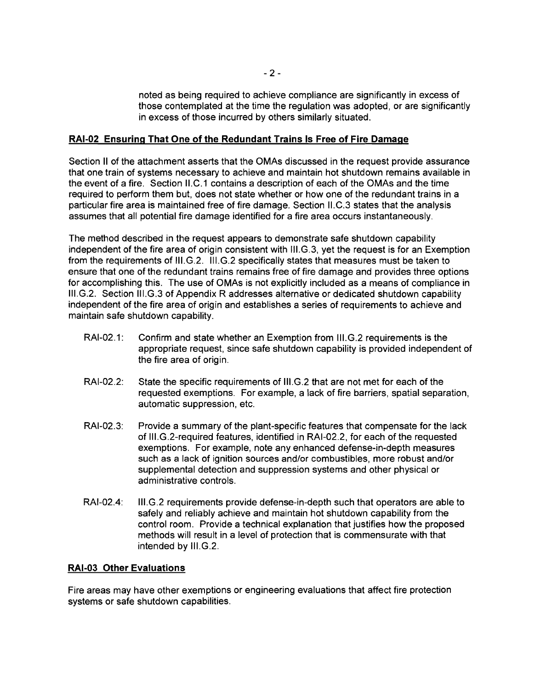noted as being required to achieve compliance are significantly in excess of those contemplated at the time the regulation was adopted, or are significantly in excess of those incurred by others similarly situated.

### **RAI-02 Ensuring That One of the Redundant Trains Is Free of Fire Damage**

Section II of the attachment asserts that the OMAs discussed in the request provide assurance that one train of systems necessary to achieve and maintain hot shutdown remains available in the event of a fire. Section II.C.1 contains a description of each of the OMAs and the time required to perform them but, does not state whether or how one of the redundant trains in a particular fire area is maintained free of fire damage. Section II.C.3 states that the analysis assumes that all potential fire damage identified for a fire area occurs instantaneously.

The method described in the request appears to demonstrate safe shutdown capability independent of the fire area of origin consistent with III.G.3, yet the request is for an Exemption from the requirements of III.G.2. III.G.2 specifically states that measures must be taken to ensure that one of the redundant trains remains free of fire damage and provides three options for accomplishing this. The use of OMAs is not explicitly included as a means of compliance in III.G.2. Section III.G.3 of Appendix R addresses alternative or dedicated shutdown capability independent of the fire area of origin and establishes a series of requirements to achieve and maintain safe shutdown capability.

- RAI-02.1: Confirm and state whether an Exemption from III.G.2 requirements is the appropriate request, since safe shutdown capability is provided independent of the fire area of origin.
- RAI-02.2: State the specific requirements of III.G.2 that are not met for each of the requested exemptions. For example, a lack of fire barriers, spatial separation, automatic suppression, etc.
- RAI-02.3: Provide a summary of the plant-specific features that compensate for the lack of III.G.2-required features, identified in RAI-02.2, for each of the requested exemptions. For example, note any enhanced defense-in-depth measures such as a lack of ignition sources and/or combustibles, more robust and/or supplemental detection and suppression systems and other physical or administrative controls.
- RAI-02.4: III.G.2 requirements provide defense-in-depth such that operators are able to safely and reliably achieve and maintain hot shutdown capability from the control room. Provide a technical explanation that justifies how the proposed methods will result in a level of protection that is commensurate with that intended by III.G.2.

#### **RAI-03 Other Evaluations**

Fire areas may have other exemptions or engineering evaluations that affect fire protection systems or safe shutdown capabilities.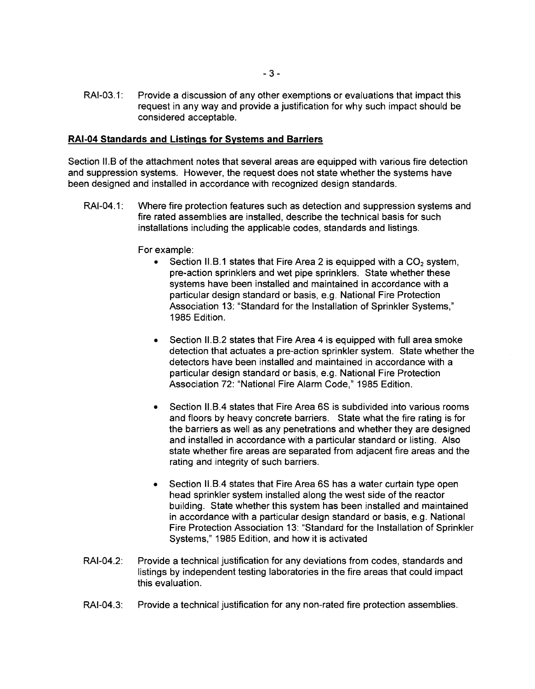RAI-03.1: Provide a discussion of any other exemptions or evaluations that impact this request in any way and provide a justification for why such impact should be considered acceptable.

#### **RAI-04 Standards and Listings for Systems and Barriers**

Section 11.8 of the attachment notes that several areas are equipped with various fire detection and suppression systems. However, the request does not state whether the systems have been designed and installed in accordance with recognized design standards.

RAI-04.1: Where fire protection features such as detection and suppression systems and fire rated assemblies are installed, describe the technical basis for such installations including the applicable codes, standards and listings.

For example:

- Section II.B.1 states that Fire Area 2 is equipped with a  $CO<sub>2</sub>$  system, pre-action sprinklers and wet pipe sprinklers. State whether these systems have been installed and maintained in accordance with a particular design standard or basis, e.g. National Fire Protection Association 13: "Standard for the Installation of Sprinkler Systems," 1985 Edition.
- Section II.B.2 states that Fire Area 4 is equipped with full area smoke detection that actuates a pre-action sprinkler system. State whether the detectors have been installed and maintained in accordance with a particular design standard or basis, e.g. National Fire Protection Association 72: "National Fire Alarm Code," 1985 Edition.
- Section II.B.4 states that Fire Area 6S is subdivided into various rooms and floors by heavy concrete barriers. State what the fire rating is for the barriers as well as any penetrations and whether they are designed and installed in accordance with a particular standard or listing. Also state whether fire areas are separated from adjacent fire areas and the rating and integrity of such barriers.
- Section II.B.4 states that Fire Area 6S has a water curtain type open head sprinkler system installed along the west side of the reactor building. State whether this system has been installed and maintained in accordance with a particular design standard or basis, e.g. National Fire Protection Association 13: "Standard for the Installation of Sprinkler Systems," 1985 Edition, and how it is activated
- RAI-04.2: Provide a technical justification for any deviations from codes, standards and listings by independent testing laboratories in the fire areas that could impact this evaluation.
- RAI-04.3: Provide a technical justification for any non-rated fire protection assemblies.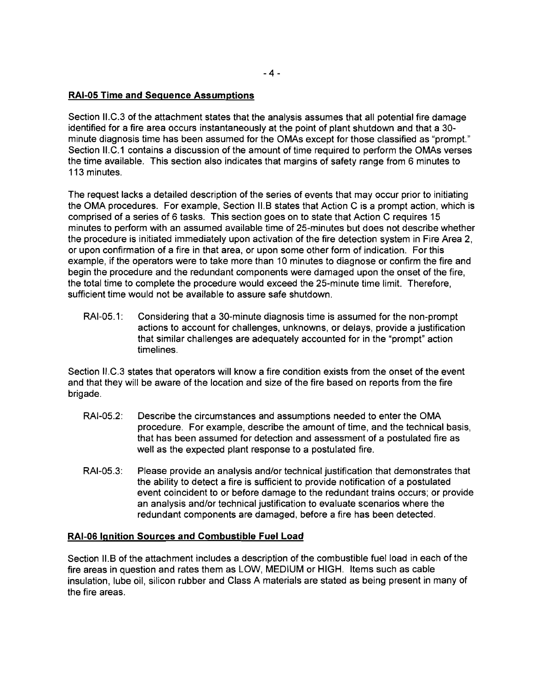### RAI-OS Time and Sequence Assumptions

Section II.C.3 of the attachment states that the analysis assumes that all potential fire damage identified for a fire area occurs instantaneously at the point of plant shutdown and that a 30 minute diagnosis time has been assumed for the OMAs except for those classified as "prompt." Section II.C.1 contains a discussion of the amount of time required to perform the OMAs verses the time available. This section also indicates that margins of safety range from 6 minutes to 113 minutes.

The request lacks a detailed description of the series of events that may occur prior to initiating the OMA procedures. For example, Section II.B states that Action C is a prompt action, which is comprised of a series of 6 tasks. This section goes on to state that Action C requires 15 minutes to perform with an assumed available time of 25-minutes but does not describe whether the procedure is initiated immediately upon activation of the fire detection system in Fire Area 2, or upon confirmation of a fire in that area, or upon some other form of indication. For this example, if the operators were to take more than 10 minutes to diagnose or confirm the fire and begin the procedure and the redundant components were damaged upon the onset of the fire, the total time to complete the procedure would exceed the 25-minute time limit. Therefore, sufficient time would not be available to assure safe shutdown.

RAI-05.1: Considering that a 30-minute diagnosis time is assumed for the non-prompt actions to account for challenges, unknowns, or delays, provide a justification that similar challenges are adequately accounted for in the "prompt" action timelines.

Section II.C.3 states that operators will know a fire condition exists from the onset of the event and that they will be aware of the location and size of the fire based on reports from the fire brigade.

- RAI-05.2: Describe the circumstances and assumptions needed to enter the OMA procedure. For example, describe the amount of time, and the technical basis, that has been assumed for detection and assessment of a postulated fire as well as the expected plant response to a postulated fire.
- RAI-05.3: Please provide an analysis and/or technical justification that demonstrates that the ability to detect a fire is sufficient to provide notification of a postulated event coincident to or before damage to the redundant trains occurs; or provide an analysis and/or technical justification to evaluate scenarios where the redundant components are damaged, before a fire has been detected.

#### RAI-OS Ignition Sources and Combustible Fuel Load

Section II.B of the attachment includes a description of the combustible fuel load in each of the fire areas in question and rates them as LOW, MEDIUM or HIGH. Items such as cable insulation, lube oil, silicon rubber and Class A materials are stated as being present in many of the fire areas.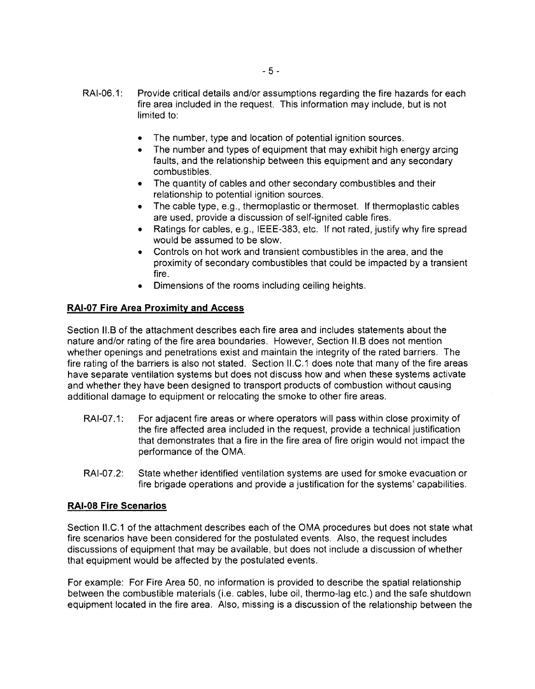- RAI-06.1: Provide critical details and/or assumptions regarding the fire hazards for each fire area included in the request. This information may include, but is not limited to:
	- The number, type and location of potential ignition sources.
	- The number and types of equipment that may exhibit high energy arcing faults, and the relationship between this equipment and any secondary combustibles.
	- The quantity of cables and other secondary combustibles and their relationship to potential ignition sources.
	- The cable type, e.g., thermoplastic or thermoset. If thermoplastic cables are used, provide a discussion of self-ignited cable fires.
	- • Ratings for cables, e.g., IEEE-383, etc. If not rated, justify why fire spread would be assumed to be slow.
	- Controls on hot work and transient combustibles in the area, and the proximity of secondary combustibles that could be impacted by a transient fire.
	- Dimensions of the rooms including ceiling heights.

### **RAI-07 Fire Area Proximity and Access**

Section 11.8 of the attachment describes each fire area and includes statements about the nature and/or rating of the fire area boundaries. However, Section 11.8 does not mention whether openings and penetrations exist and maintain the integrity of the rated barriers. The fire rating of the barriers is also not stated. Section II.C.1 does note that many of the fire areas have separate ventilation systems but does not discuss how and when these systems activate and whether they have been designed to transport products of combustion without causing additional damage to equipment or relocating the smoke to other fire areas.

- RAI-07.1: For adjacent fire areas or where operators will pass within close proximity of the fire affected area included in the request, provide a technical justification that demonstrates that a fire in the fire area of fire origin would not impact the performance of the OMA.
- RAI-07.2: State whether identified ventilation systems are used for smoke evacuation or fire brigade operations and provide a justification for the systems' capabilities.

#### **RAI-OS Fire Scenarios**

Section II.C.1 of the attachment describes each of the OMA procedures but does not state what fire scenarios have been considered for the postulated events. Also, the request includes discussions of equipment that may be available, but does not include a discussion of whether that equipment would be affected by the postulated events.

For example: For Fire Area 50, no information is provided to describe the spatial relationship between the combustible materials (i.e. cables, lube oil, thermo-lag etc.) and the safe shutdown equipment located in the fire area. Also, missing is a discussion of the relationship between the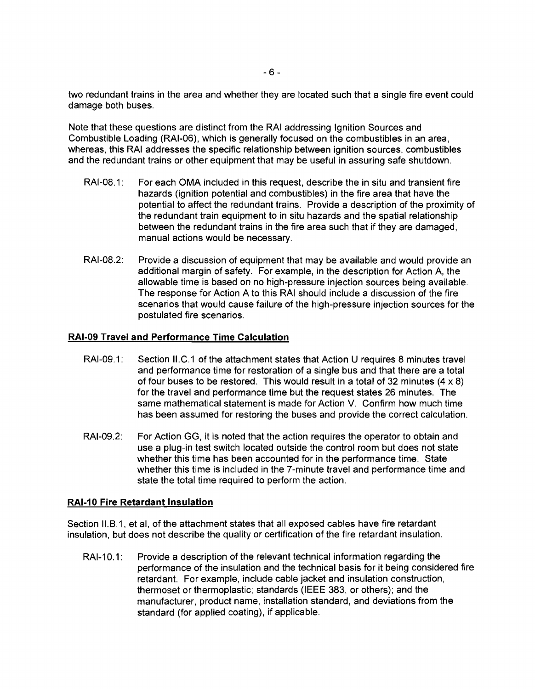two redundant trains in the area and whether they are located such that a single fire event could damage both buses.

Note that these questions are distinct from the RAI addressing Ignition Sources and Combustible Loading (RAI-06), which is generally focused on the combustibles in an area, whereas, this RAI addresses the specific relationship between ignition sources, combustibles and the redundant trains or other equipment that may be useful in assuring safe shutdown.

- RAI-08.1: For each OMA included in this request, describe the in situ and transient fire hazards (ignition potential and combustibles) in the fire area that have the potential to affect the redundant trains. Provide a description of the proximity of the redundant train equipment to in situ hazards and the spatial relationship between the redundant trains in the fire area such that if they are damaged, manual actions would be necessary.
- RAI-08.2: Provide a discussion of equipment that may be available and would provide an additional margin of safety. For example, in the description for Action A, the allowable time is based on no high-pressure injection sources being available. The response for Action A to this RAI should include a discussion of the fire scenarios that would cause failure of the high-pressure injection sources for the postulated fire scenarios.

#### **RAI-09 Travel and Performance Time Calculation**

- RAI-09.1: Section II.C.1 of the attachment states that Action U requires 8 minutes travel and performance time for restoration of a single bus and that there are a total of four buses to be restored. This would result in a total of 32 minutes  $(4 \times 8)$ for the travel and performance time but the request states 26 minutes. The same mathematical statement is made for Action V. Confirm how much time has been assumed for restoring the buses and provide the correct calculation.
- RAI-09.2: For Action GG, it is noted that the action requires the operator to obtain and use a plug-in test switch located outside the control room but does not state whether this time has been accounted for in the performance time. State whether this time is included in the 7-minute travel and performance time and state the total time required to perform the action.

#### **RAI-10 Fire Retardant Insulation**

Section II.B.1, et ai, of the attachment states that all exposed cables have fire retardant insulation, but does not describe the quality or certification of the fire retardant insulation.

RAI-10.1: Provide a description of the relevant technical information regarding the performance of the insulation and the technical basis for it being considered fire retardant. For example, include cable jacket and insulation construction, thermoset or thermoplastic; standards (IEEE 383, or others); and the manufacturer, product name, installation standard, and deviations from the standard (for applied coating), if applicable.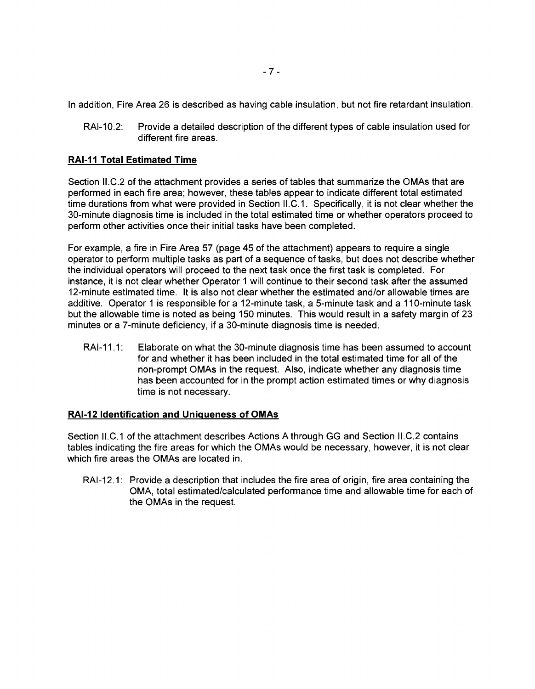In addition, Fire Area 26 is described as having cable insulation, but not fire retardant insulation.

RAI-10.2: Provide a detailed description of the different types of cable insulation used for different fire areas.

## **RAI-11 Total Estimated Time**

Section II.C.2 of the attachment provides a series of tables that summarize the OMAs that are performed in each fire area; however, these tables appear to indicate different total estimated time durations from what were provided in Section II.C.1. Specifically, it is not clear whether the 30-minute diagnosis time is included in the total estimated time or whether operators proceed to perform other activities once their initial tasks have been completed.

For example, a fire in Fire Area 57 (page 45 of the attachment) appears to require a single operator to perform multiple tasks as part of a sequence of tasks, but does not describe whether the individual operators will proceed to the next task once the first task is completed. For instance, it is not clear whether Operator 1 will continue to their second task after the assumed 12-minute estimated time. It is also not clear whether the estimated and/or allowable times are additive. Operator 1 is responsible for a 12-minute task, a 5-minute task and a 110-minute task but the allowable time is noted as being 150 minutes. This would result in a safety margin of 23 minutes or a 7-minute deficiency, if a 30-minute diagnosis time is needed.

RAI-11.1: Elaborate on what the 30-minute diagnosis time has been assumed to account for and whether it has been included in the total estimated time for all of the non-prompt OMAs in the request. Also, indicate whether any diagnosis time has been accounted for in the prompt action estimated times or why diagnosis time is not necessary.

## **RAI-12 Identification and Uniqueness of OMAs**

Section II.C.1 of the attachment describes Actions A through GG and Section II.C.2 contains tables indicating the fire areas for which the OMAs would be necessary, however, it is not clear which fire areas the OMAs are located in.

RAI-12.1: Provide a description that includes the fire area of origin, fire area containing the OMA, total estimated/calculated performance time and allowable time for each of the OMAs in the request.